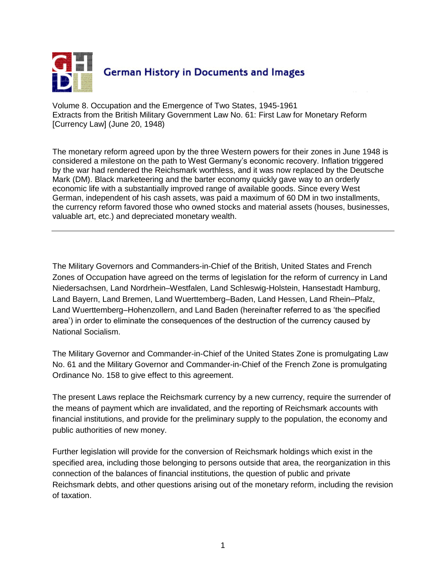

Volume 8. Occupation and the Emergence of Two States, 1945-1961 Extracts from the British Military Government Law No. 61: First Law for Monetary Reform [Currency Law] (June 20, 1948)

The monetary reform agreed upon by the three Western powers for their zones in June 1948 is considered a milestone on the path to West Germany's economic recovery. Inflation triggered by the war had rendered the Reichsmark worthless, and it was now replaced by the Deutsche Mark (DM). Black marketeering and the barter economy quickly gave way to an orderly economic life with a substantially improved range of available goods. Since every West German, independent of his cash assets, was paid a maximum of 60 DM in two installments, the currency reform favored those who owned stocks and material assets (houses, businesses, valuable art, etc.) and depreciated monetary wealth.

The Military Governors and Commanders-in-Chief of the British, United States and French Zones of Occupation have agreed on the terms of legislation for the reform of currency in Land Niedersachsen, Land Nordrhein–Westfalen, Land Schleswig-Holstein, Hansestadt Hamburg, Land Bayern, Land Bremen, Land Wuerttemberg–Baden, Land Hessen, Land Rhein–Pfalz, Land Wuerttemberg–Hohenzollern, and Land Baden (hereinafter referred to as 'the specified area') in order to eliminate the consequences of the destruction of the currency caused by National Socialism.

The Military Governor and Commander-in-Chief of the United States Zone is promulgating Law No. 61 and the Military Governor and Commander-in-Chief of the French Zone is promulgating Ordinance No. 158 to give effect to this agreement.

The present Laws replace the Reichsmark currency by a new currency, require the surrender of the means of payment which are invalidated, and the reporting of Reichsmark accounts with financial institutions, and provide for the preliminary supply to the population, the economy and public authorities of new money.

Further legislation will provide for the conversion of Reichsmark holdings which exist in the specified area, including those belonging to persons outside that area, the reorganization in this connection of the balances of financial institutions, the question of public and private Reichsmark debts, and other questions arising out of the monetary reform, including the revision of taxation.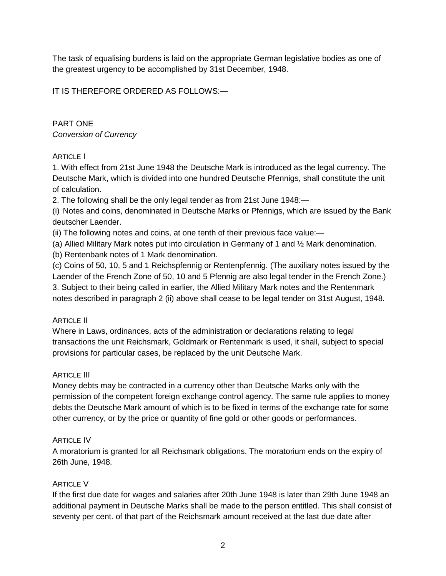The task of equalising burdens is laid on the appropriate German legislative bodies as one of the greatest urgency to be accomplished by 31st December, 1948.

IT IS THEREFORE ORDERED AS FOLLOWS:—

# PART ONE *Conversion of Currency*

### ARTICLE I

1. With effect from 21st June 1948 the Deutsche Mark is introduced as the legal currency. The Deutsche Mark, which is divided into one hundred Deutsche Pfennigs, shall constitute the unit of calculation.

2. The following shall be the only legal tender as from 21st June 1948:—

(i) Notes and coins, denominated in Deutsche Marks or Pfennigs, which are issued by the Bank deutscher Laender.

(ii) The following notes and coins, at one tenth of their previous face value:—

(a) Allied Military Mark notes put into circulation in Germany of 1 and ½ Mark denomination.

(b) Rentenbank notes of 1 Mark denomination.

(c) Coins of 50, 10, 5 and 1 Reichspfennig or Rentenpfennig. (The auxiliary notes issued by the Laender of the French Zone of 50, 10 and 5 Pfennig are also legal tender in the French Zone.) 3. Subject to their being called in earlier, the Allied Military Mark notes and the Rentenmark notes described in paragraph 2 (ii) above shall cease to be legal tender on 31st August, 1948.

# ARTICLE II

Where in Laws, ordinances, acts of the administration or declarations relating to legal transactions the unit Reichsmark, Goldmark or Rentenmark is used, it shall, subject to special provisions for particular cases, be replaced by the unit Deutsche Mark.

#### ARTICLE III

Money debts may be contracted in a currency other than Deutsche Marks only with the permission of the competent foreign exchange control agency. The same rule applies to money debts the Deutsche Mark amount of which is to be fixed in terms of the exchange rate for some other currency, or by the price or quantity of fine gold or other goods or performances.

# ARTICLE IV

A moratorium is granted for all Reichsmark obligations. The moratorium ends on the expiry of 26th June, 1948.

# ARTICLE V

If the first due date for wages and salaries after 20th June 1948 is later than 29th June 1948 an additional payment in Deutsche Marks shall be made to the person entitled. This shall consist of seventy per cent. of that part of the Reichsmark amount received at the last due date after